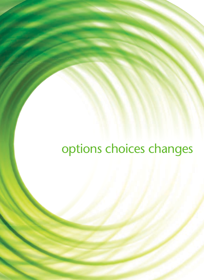# options choices changes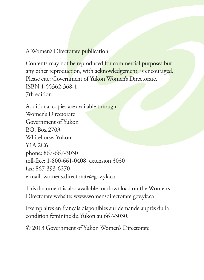#### A Women's Directorate publication

Contents may not be reproduced for commercial purposes but any other reproduction, with acknowledgement, is encouraged. Please cite: Government of Yukon Women's Directorate. ISBN 1-55362-368-1 7th edition

Additional copies are available through: Women's Directorate Government of Yukon P.O. Box 2703 Whitehorse, Yukon Y1A 2C6 phone: 867-667-3030 toll-free: 1-800-661-0408, extension 3030 fax: 867-393-6270 e-mail: womens.directorate@gov.yk.ca

This document is also available for download on the Women's Directorate website: www.womensdirectorate.gov.yk.ca

Exemplaires en français disponibles sur demande auprès du la condition feminine du Yukon au 667-3030.

© 2013 Government of Yukon Women's Directorate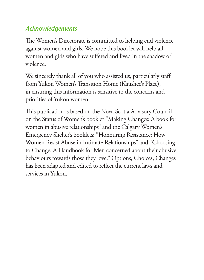## *Acknowledgements*

The Women's Directorate is committed to helping end violence against women and girls. We hope this booklet will help all women and girls who have suffered and lived in the shadow of violence.

We sincerely thank all of you who assisted us, particularly staff from Yukon Women's Transition Home (Kaushee's Place), in ensuring this information is sensitive to the concerns and priorities of Yukon women.

This publication is based on the Nova Scotia Advisory Council on the Status of Women's booklet "Making Changes: A book for women in abusive relationships" and the Calgary Women's Emergency Shelter's booklets: "Honouring Resistance: How Women Resist Abuse in Intimate Relationships" and "Choosing to Change: A Handbook for Men concerned about their abusive behaviours towards those they love." Options, Choices, Changes has been adapted and edited to reflect the current laws and services in Yukon.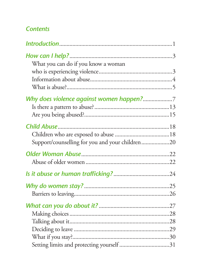## **Contents**

| What you can do if you know a woman             |  |
|-------------------------------------------------|--|
|                                                 |  |
|                                                 |  |
|                                                 |  |
| Why does violence against women happen?7        |  |
|                                                 |  |
|                                                 |  |
|                                                 |  |
|                                                 |  |
| Support/counselling for you and your children20 |  |
|                                                 |  |
|                                                 |  |
|                                                 |  |
|                                                 |  |
|                                                 |  |
|                                                 |  |
|                                                 |  |
|                                                 |  |
|                                                 |  |
|                                                 |  |
|                                                 |  |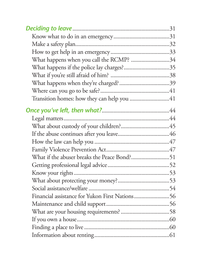| What happens when you call the RCMP? 34        |  |
|------------------------------------------------|--|
| What happens if the police lay charges?35      |  |
|                                                |  |
|                                                |  |
|                                                |  |
|                                                |  |
|                                                |  |
|                                                |  |
|                                                |  |
|                                                |  |
|                                                |  |
|                                                |  |
|                                                |  |
|                                                |  |
|                                                |  |
|                                                |  |
|                                                |  |
| Financial assistance for Yukon First Nations56 |  |
|                                                |  |
|                                                |  |
|                                                |  |
|                                                |  |
|                                                |  |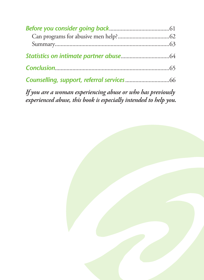*If you are a woman experiencing abuse or who has previously experienced abuse, this book is especially intended to help you.*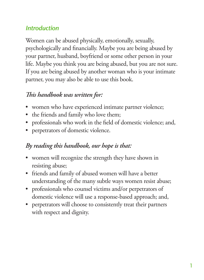## *Introduction*

Women can be abused physically, emotionally, sexually, psychologically and financially. Maybe you are being abused by your partner, husband, boyfriend or some other person in your life. Maybe you think you are being abused, but you are not sure. If you are being abused by another woman who is your intimate partner, you may also be able to use this book.

## *is handbook was written for:*

- women who have experienced intimate partner violence;
- the friends and family who love them;
- professionals who work in the field of domestic violence; and,
- perpetrators of domestic violence.

#### *By reading this handbook, our hope is that:*

- women will recognize the strength they have shown in resisting abuse;
- friends and family of abused women will have a better understanding of the many subtle ways women resist abuse;
- professionals who counsel victims and/or perpetrators of domestic violence will use a response-based approach; and,
- perpetrators will choose to consistently treat their partners with respect and dignity.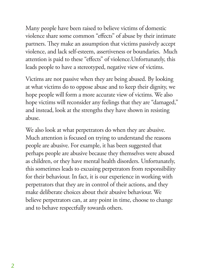Many people have been raised to believe victims of domestic violence share some common "effects" of abuse by their intimate partners. They make an assumption that victims passively accept violence, and lack self-esteem, assertiveness or boundaries. Much attention is paid to these "effects" of violence. Unfortunately, this leads people to have a stereotyped, negative view of victims.

Victims are not passive when they are being abused. By looking at what victims do to oppose abuse and to keep their dignity, we hope people will form a more accurate view of victims. We also hope victims will reconsider any feelings that they are "damaged," and instead, look at the strengths they have shown in resisting abuse.

We also look at what perpetrators do when they are abusive. Much attention is focused on trying to understand the reasons people are abusive. For example, it has been suggested that perhaps people are abusive because they themselves were abused as children, or they have mental health disorders. Unfortunately, this sometimes leads to excusing perpetrators from responsibility for their behaviour. In fact, it is our experience in working with perpetrators that they are in control of their actions, and they make deliberate choices about their abusive behaviour. We believe perpetrators can, at any point in time, choose to change and to behave respectfully towards others.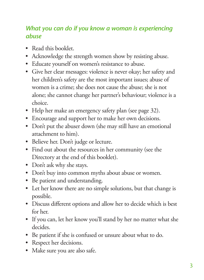#### *What you can do if you know a woman is experiencing abuse*

- Read this booklet.
- • Acknowledge the strength women show by resisting abuse.
- Educate yourself on women's resistance to abuse.
- • Give her clear messages: violence is never okay; her safety and her children's safety are the most important issues; abuse of women is a crime; she does not cause the abuse; she is not alone; she cannot change her partner's behaviour; violence is a choice.
- Help her make an emergency safety plan (see page 32).
- • Encourage and support her to make her own decisions.
- Don't put the abuser down (she may still have an emotional attachment to him).
- • Believe her. Don't judge or lecture.
- • Find out about the resources in her community (see the Directory at the end of this booklet).
- Don't ask why she stays.
- Don't buy into common myths about abuse or women.
- Be patient and understanding.
- • Let her know there are no simple solutions, but that change is possible.
- • Discuss different options and allow her to decide which is best for her.
- If you can, let her know you'll stand by her no matter what she decides.
- • Be patient if she is confused or unsure about what to do.
- Respect her decisions.
- Make sure you are also safe.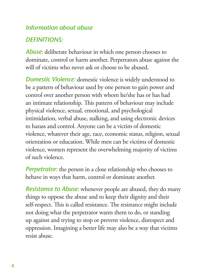#### *Information about abuse*

## *DEFINITIONS:*

*Abuse:* deliberate behaviour in which one person chooses to dominate, control or harm another. Perpetrators abuse against the will of victims who never ask or choose to be abused.

*Domestic Violence:* domestic violence is widely understood to be a pattern of behaviour used by one person to gain power and control over another person with whom he/she has or has had an intimate relationship. This pattern of behaviour may include physical violence, sexual, emotional, and psychological intimidation, verbal abuse, stalking, and using electronic devices to harass and control. Anyone can be a victim of domestic violence, whatever their age, race, economic status, religion, sexual orientation or education. While men can be victims of domestic violence, women represent the overwhelming majority of victims of such violence.

*Perpetrator:* the person in a close relationship who chooses to behave in ways that harm, control or dominate another.

*Resistance to Abuse:* whenever people are abused, they do many things to oppose the abuse and to keep their dignity and their self-respect. This is called resistance. The resistance might include not doing what the perpetrator wants them to do, or standing up against and trying to stop or prevent violence, disrespect and oppression. Imagining a better life may also be a way that victims resist abuse.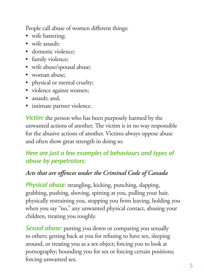People call abuse of women different things:

- wife battering;
- wife assault:
- domestic violence;
- family violence;
- wife abuse/spousal abuse;
- woman abuse:
- physical or mental cruelty;
- violence against women;
- assault; and,
- intimate partner violence.

*Victim:* the person who has been purposely harmed by the unwanted actions of another. The victim is in no way responsible for the abusive actions of another. Victims always oppose abuse and often show great strength in doing so.

#### *Here are just a few examples of behaviours and types of abuse by perpetrators:*

#### *Acts that are offences under the Criminal Code of Canada*

*Physical abuse:* strangling, kicking, punching, slapping, grabbing, pushing, shoving, spitting at you, pulling your hair, physically restraining you, stopping you from leaving, holding you when you say "no," any unwanted physical contact, abusing your children, treating you roughly.

**Sexual abuse:** putting you down or comparing you sexually to others; getting back at you for refusing to have sex, sleeping around, or treating you as a sex object; forcing you to look at pornography; hounding you for sex or forcing certain positions; forcing unwanted sex.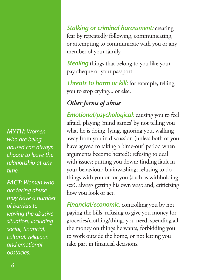*MYTH: Women who are being abused can always choose to leave the relationship at any time.*

*FACT: Women who are facing abuse may have a number of barriers to leaving the abusive situation, including social, financial, cultural, religious and emotional obstacles.* 

*Stalking or criminal harassment:* creating fear by repeatedly following, communicating, or attempting to communicate with you or any member of your family.

**Stealing** things that belong to you like your pay cheque or your passport.

*Threats to harm or kill:* for example, telling you to stop crying... or else.

# *Other forms of abuse*

*Emotional/psychological:* causing you to feel afraid, playing 'mind games' by not telling you what he is doing, lying, ignoring you, walking away from you in discussion (unless both of you have agreed to taking a 'time-out' period when arguments become heated); refusing to deal with issues; putting you down; finding fault in your behaviour; brainwashing; refusing to do things with you or for you (such as withholding sex), always getting his own way; and, criticizing how you look or act.

*Financial/economic:* controlling you by not paying the bills, refusing to give you money for groceries/clothing/things you need, spending all the money on things he wants, forbidding you to work outside the home, or not letting you take part in financial decisions.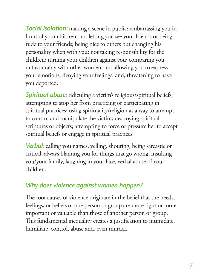**Social isolation:** making a scene in public; embarrassing you in front of your children; not letting you see your friends or being rude to your friends; being nice to others but changing his personality when with you; not taking responsibility for the children; turning your children against you; comparing you unfavourably with other women; not allowing you to express your emotions; denying your feelings; and, threatening to have you deported.

**Spiritual abuse:** ridiculing a victim's religious/spiritual beliefs; attempting to stop her from practicing or participating in spiritual practices; using spirituality/religion as a way to attempt to control and manipulate the victim; destroying spiritual scriptures or objects; attempting to force or pressure her to accept spiritual beliefs or engage in spiritual practices.

*Verbal:* calling you names, yelling, shouting, being sarcastic or critical, always blaming you for things that go wrong, insulting you/your family, laughing in your face, verbal abuse of your children.

## *Why does violence against women happen?*

The root causes of violence originate in the belief that the needs, feelings, or beliefs of one person or group are more right or more important or valuable than those of another person or group. This fundamental inequality creates a justification to intimidate, humiliate, control, abuse and, even murder.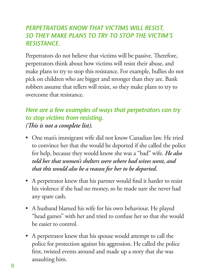#### *PERPETRATORS KNOW THAT VICTIMS WILL RESIST, SO THEY MAKE PLANS TO TRY TO STOP THE VICTIM'S RESISTANCE.*

Perpetrators do not believe that victims will be passive. Therefore, perpetrators think about how victims will resist their abuse, and make plans to try to stop this resistance. For example, bullies do not pick on children who are bigger and stronger than they are. Bank robbers assume that tellers will resist, so they make plans to try to overcome that resistance.

## *Here are a few examples of ways that perpetrators can try to stop victims from resisting. (This is not a complete list).*

- • One man's immigrant wife did not know Canadian law. He tried to convince her that she would be deported if she called the police for help, because they would know she was a "bad" wife. *He also told her that women's shelters were where bad wives went, and that this would also be a reason for her to be deported.*
- A perpetrator knew that his partner would find it harder to resist his violence if she had no money, so he made sure she never had any spare cash.
- A husband blamed his wife for his own behaviour. He played "head games" with her and tried to confuse her so that she would be easier to control.
- A perpetrator knew that his spouse would attempt to call the police for protection against his aggression. He called the police first, twisted events around and made up a story that she was assaulting him.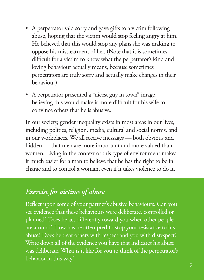- A perpetrator said sorry and gave gifts to a victim following abuse, hoping that the victim would stop feeling angry at him. He believed that this would stop any plans she was making to oppose his mistreatment of her. (Note that it is sometimes difficult for a victim to know what the perpetrator's kind and loving behaviour actually means, because sometimes perpetrators are truly sorry and actually make changes in their behaviour).
- A perpetrator presented a "nicest guy in town" image, believing this would make it more difficult for his wife to convince others that he is abusive.

In our society, gender inequality exists in most areas in our lives, including politics, religion, media, cultural and social norms, and in our workplaces. We all receive messages — both obvious and hidden — that men are more important and more valued than women. Living in the context of this type of environment makes it much easier for a man to believe that he has the right to be in charge and to control a woman, even if it takes violence to do it.

# *Exercise for victims of abuse*

Reflect upon some of your partner's abusive behaviours. Can you see evidence that these behaviours were deliberate, controlled or planned? Does he act differently toward you when other people are around? How has he attempted to stop your resistance to his abuse? Does he treat others with respect and you with disrespect? Write down all of the evidence you have that indicates his abuse was deliberate. What is it like for you to think of the perpetrator's behavior in this way?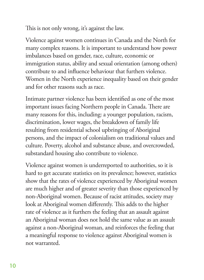This is not only wrong, it's against the law.

Violence against women continues in Canada and the North for many complex reasons. It is important to understand how power imbalances based on gender, race, culture, economic or immigration status, ability and sexual orientation (among others) contribute to and influence behaviour that furthers violence. Women in the North experience inequality based on their gender and for other reasons such as race.

Intimate partner violence has been identified as one of the most important issues facing Northern people in Canada. There are many reasons for this, including: a younger population, racism, discrimination, lower wages, the breakdown of family life resulting from residential school upbringing of Aboriginal persons, and the impact of colonialism on traditional values and culture. Poverty, alcohol and substance abuse, and overcrowded, substandard housing also contribute to violence.

Violence against women is underreported to authorities, so it is hard to get accurate statistics on its prevalence; however, statistics show that the rates of violence experienced by Aboriginal women are much higher and of greater severity than those experienced by non-Aboriginal women. Because of racist attitudes, society may look at Aboriginal women differently. This adds to the higher rate of violence as it furthers the feeling that an assault against an Aboriginal woman does not hold the same value as an assault against a non-Aboriginal woman, and reinforces the feeling that a meaningful response to violence against Aboriginal women is not warranted.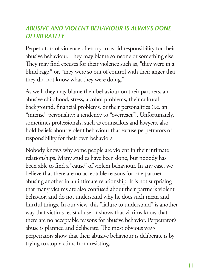#### *ABUSIVE AND VIOLENT BEHAVIOUR IS ALWAYS DONE DELIBERATELY*

Perpetrators of violence often try to avoid responsibility for their abusive behaviour. They may blame someone or something else. They may find excuses for their violence such as, "they were in a blind rage," or, "they were so out of control with their anger that they did not know what they were doing."

As well, they may blame their behaviour on their partners, an abusive childhood, stress, alcohol problems, their cultural background, financial problems, or their personalities (i.e. an "intense" personality; a tendency to "overreact"). Unfortunately, sometimes professionals, such as counsellors and lawyers, also hold beliefs about violent behaviour that excuse perpetrators of responsibility for their own behaviors.

Nobody knows why some people are violent in their intimate relationships. Many studies have been done, but nobody has been able to find a "cause" of violent behaviour. In any case, we believe that there are no acceptable reasons for one partner abusing another in an intimate relationship. It is not surprising that many victims are also confused about their partner's violent behavior, and do not understand why he does such mean and hurtful things. In our view, this "failure to understand" is another way that victims resist abuse. It shows that victims know that there are no acceptable reasons for abusive behavior. Perpetrator's abuse is planned and deliberate. The most obvious ways perpetrators show that their abusive behaviour is deliberate is by trying to stop victims from resisting.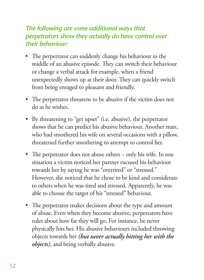#### *The following are some additional ways that perpetrators show they actually do have control over their behaviour:*

- The perpetrator can suddenly change his behaviour in the middle of an abusive episode. They can switch their behaviour or change a verbal attack for example, when a friend unexpectedly shows up at their door. They can quickly switch from being enraged to pleasant and friendly.
- The perpetrator threatens to be abusive if the victim does not do as he wishes.
- • By threatening to "get upset" (i.e. abusive), the perpetrator shows that he can predict his abusive behaviour. Another man, who had smothered his wife on several occasions with a pillow, threatened further smothering to attempt to control her.
- The perpetrator does not abuse others only his wife. In one situation a victim noticed her partner excused his behaviour towards her by saying he was "overtired" or "stressed." However, she noticed that he chose to be kind and considerate to others when he was tired and stressed. Apparently, he was able to choose the target of his "stressed" behaviour.
- The perpetrator makes decisions about the type and amount of abuse. Even when they become abusive, perpetrators have rules about how far they will go. For instance, he never physically hits her. His abusive behaviours included throwing objects towards her *(but never actually hitting her with the objects)*, and being verbally abusive.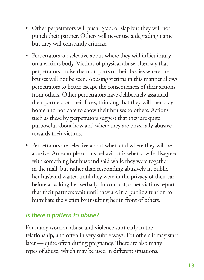- Other perpetrators will push, grab, or slap but they will not punch their partner. Others will never use a degrading name but they will constantly criticize.
- Perpetrators are selective about where they will inflict injury on a victim's body. Victims of physical abuse often say that perpetrators bruise them on parts of their bodies where the bruises will not be seen. Abusing victims in this manner allows perpetrators to better escape the consequences of their actions from others. Other perpetrators have deliberately assaulted their partners on their faces, thinking that they will then stay home and not dare to show their bruises to others. Actions such as these by perpetrators suggest that they are quite purposeful about how and where they are physically abusive towards their victims.
- Perpetrators are selective about when and where they will be abusive. An example of this behaviour is when a wife disagreed with something her husband said while they were together in the mall, but rather than responding abusively in public, her husband waited until they were in the privacy of their car before attacking her verbally. In contrast, other victims report that their partners wait until they are in a public situation to humiliate the victim by insulting her in front of others.

#### *Is there a pattern to abuse?*

For many women, abuse and violence start early in the relationship, and often in very subtle ways. For others it may start later — quite often during pregnancy. There are also many types of abuse, which may be used in different situations.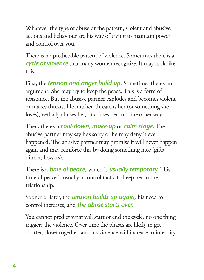Whatever the type of abuse or the pattern, violent and abusive actions and behaviour are his way of trying to maintain power and control over you.

There is no predictable pattern of violence. Sometimes there is a *cycle of violence* that many women recognize. It may look like this:

First, the *tension and anger build up.* Sometimes there's an argument. She may try to keep the peace. This is a form of resistance. But the abusive partner explodes and becomes violent or makes threats. He hits her, threatens her (or something she loves), verbally abuses her, or abuses her in some other way.

Then, there's a *cool-down, make-up* or *calm stage*. The abusive partner may say he's sorry or he may deny it ever happened. The abusive partner may promise it will never happen again and may reinforce this by doing something nice (gifts, dinner, flowers).

There is a *time of peace*, which is *usually temporary*. This time of peace is usually a control tactic to keep her in the relationship.

Sooner or later, the *tension builds up again,* his need to control increases, and *the abuse starts over.* 

You cannot predict what will start or end the cycle, no one thing triggers the violence. Over time the phases are likely to get shorter, closer together, and his violence will increase in intensity.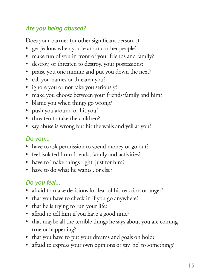## *Are you being abused?*

Does your partner (or other significant person...)

- get jealous when you're around other people?
- make fun of you in front of your friends and family?
- destroy, or threaten to destroy, your possessions?
- • praise you one minute and put you down the next?
- call you names or threaten you?
- ignore you or not take you seriously?
- make you choose between your friends/family and him?
- • blame you when things go wrong?
- push you around or hit you?
- threaten to take the children?
- say abuse is wrong but hit the walls and yell at you?

## *Do you...*

- have to ask permission to spend money or go out?
- feel isolated from friends, family and activities?
- have to 'make things right' just for him?
- have to do what he wants...or else?

# *Do you feel...*

- afraid to make decisions for fear of his reaction or anger?
- that you have to check in if you go anywhere?
- that he is trying to run your life?
- afraid to tell him if you have a good time?
- that maybe all the terrible things he says about you are coming true or happening?
- that you have to put your dreams and goals on hold?
- afraid to express your own opinions or say 'no' to something?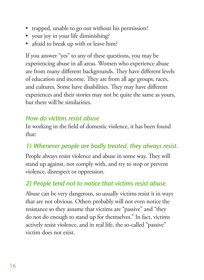- trapped, unable to go out without his permission?
- your joy in your life diminishing?
- afraid to break up with or leave him?

If you answer "yes" to any of these questions, you may be experiencing abuse in all areas. Women who experience abuse are from many different backgrounds. They have different levels of education and income. They are from all age groups, races, and cultures. Some have disabilities. They may have different experiences and their stories may not be quite the same as yours, but there will be similarities.

#### *How do victims resist abuse*

In working in the field of domestic violence, it has been found that:

## *1) Whenever people are badly treated, they always resist.*

People always resist violence and abuse in some way. They will stand up against, not comply with, and try to stop or prevent violence, disrespect or oppression.

## *2) People tend not to notice that victims resist abuse.*

Abuse can be very dangerous, so usually victims resist it in ways that are not obvious. Others probably will not even notice the resistance so they assume that victims are "passive" and "they do not do enough to stand up for themselves." In fact, victims actively resist violence, and in real life, the so-called "passive" victim does not exist.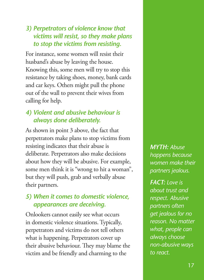#### *3) Perpetrators of violence know that victims will resist, so they make plans to stop the victims from resisting.*

For instance, some women will resist their husband's abuse by leaving the house. Knowing this, some men will try to stop this resistance by taking shoes, money, bank cards and car keys. Others might pull the phone out of the wall to prevent their wives from calling for help.

## *4) Violent and abusive behaviour is always done deliberately.*

As shown in point 3 above, the fact that perpetrators make plans to stop victims from resisting indicates that their abuse is deliberate. Perpetrators also make decisions about how they will be abusive. For example, some men think it is "wrong to hit a woman", but they will push, grab and verbally abuse their partners.

#### *5) When it comes to domestic violence, appearances are deceiving.*

Onlookers cannot easily see what occurs in domestic violence situations. Typically, perpetrators and victims do not tell others what is happening. Perpetrators cover up their abusive behaviour. They may blame the victim and be friendly and charming to the

*MYTH: Abuse happens because women make their partners jealous.* 

*FACT: Love is about trust and respect. Abusive partners often get jealous for no reason. No matter what, people can always choose non-abusive ways to react.*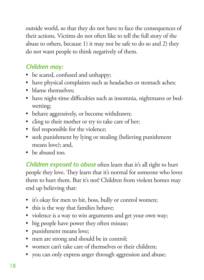outside world, so that they do not have to face the consequences of their actions. Victims do not often like to tell the full story of the abuse to others, because 1) it may not be safe to do so and 2) they do not want people to think negatively of them.

## *Children may:*

- be scared, confused and unhappy;
- have physical complaints such as headaches or stomach aches;
- blame themselves:
- have night-time difficulties such as insomnia, nightmares or bedwetting;
- • behave aggressively, or become withdrawn;
- cling to their mother or try to take care of her;
- feel responsible for the violence;
- seek punishment by lying or stealing (believing punishment means love); and,
- he abused too.

*Children exposed to abuse* often learn that it's all right to hurt people they love. They learn that it's normal for someone who loves them to hurt them. But it's not! Children from violent homes may end up believing that:

- it's okay for men to hit, boss, bully or control women;
- this is the way that families behave;
- violence is a way to win arguments and get your own way;
- big people have power they often misuse;
- punishment means love;
- men are strong and should be in control;
- • women can't take care of themselves or their children;
- you can only express anger through aggression and abuse;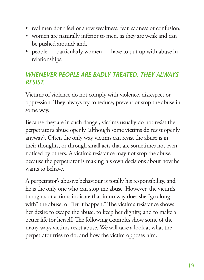- real men don't feel or show weakness, fear, sadness or confusion;
- • women are naturally inferior to men, as they are weak and can be pushed around; and,
- people particularly women have to put up with abuse in relationships.

#### *WHENEVER PEOPLE ARE BADLY TREATED, THEY ALWAYS RESIST.*

Victims of violence do not comply with violence, disrespect or oppression. They always try to reduce, prevent or stop the abuse in some way.

Because they are in such danger, victims usually do not resist the perpetrator's abuse openly (although some victims do resist openly anyway). Often the only way victims can resist the abuse is in their thoughts, or through small acts that are sometimes not even noticed by others. A victim's resistance may not stop the abuse, because the perpetrator is making his own decisions about how he wants to behave.

A perpetrator's abusive behaviour is totally his responsibility, and he is the only one who can stop the abuse. However, the victim's thoughts or actions indicate that in no way does she "go along with" the abuse, or "let it happen." The victim's resistance shows her desire to escape the abuse, to keep her dignity, and to make a better life for herself. The following examples show some of the many ways victims resist abuse. We will take a look at what the perpetrator tries to do, and how the victim opposes him.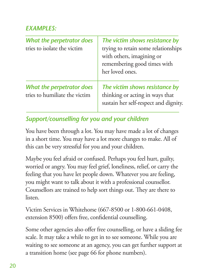## *EXAMPLES:*

| What the perpetrator does<br>tries to isolate the victim   | The victim shows resistance by<br>trying to retain some relationships<br>with others, imagining or<br>remembering good times with<br>her loved ones. |
|------------------------------------------------------------|------------------------------------------------------------------------------------------------------------------------------------------------------|
| What the perpetrator does<br>tries to humiliate the victim | The victim shows resistance by<br>thinking or acting in ways that<br>sustain her self-respect and dignity.                                           |

# *Support/counselling for you and your children*

You have been through a lot. You may have made a lot of changes in a short time. You may have a lot more changes to make. All of this can be very stressful for you and your children.

Maybe you feel afraid or confused. Perhaps you feel hurt, guilty, worried or angry. You may feel grief, loneliness, relief, or carry the feeling that you have let people down. Whatever you are feeling, you might want to talk about it with a professional counsellor. Counsellors are trained to help sort things out. They are there to listen.

Victim Services in Whitehorse (667-8500 or 1-800-661-0408, extension 8500) offers free, confidential counselling.

Some other agencies also offer free counselling, or have a sliding fee scale. It may take a while to get in to see someone. While you are waiting to see someone at an agency, you can get further support at a transition home (see page 66 for phone numbers).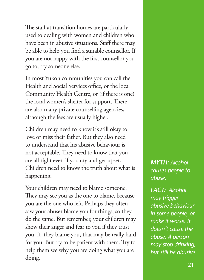The staff at transition homes are particularly used to dealing with women and children who have been in abusive situations. Staff there may be able to help you find a suitable counsellor. If you are not happy with the first counsellor you go to, try someone else.

In most Yukon communities you can call the Health and Social Services office, or the local Community Health Centre, or (if there is one) the local women's shelter for support. There are also many private counselling agencies, although the fees are usually higher.

Children may need to know it's still okay to love or miss their father. But they also need to understand that his abusive behaviour is not acceptable. They need to know that you are all right even if you cry and get upset. Children need to know the truth about what is happening.

Your children may need to blame someone. They may see you as the one to blame, because you are the one who left. Perhaps they often saw your abuser blame you for things, so they do the same. But remember, your children may show their anger and fear to you if they trust you. If they blame you, that may be really hard for you. But try to be patient with them. Try to help them see why you are doing what you are doing.

*MYTH: Alcohol causes people to abuse.* 

*FACT: Alcohol may trigger abusive behaviour in some people, or make it worse. It doesn't cause the abuse. A person may stop drinking, but still be abusive.*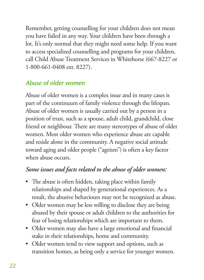Remember, getting counselling for your children does not mean you have failed in any way. Your children have been through a lot. It's only normal that they might need some help. If you want to access specialized counselling and programs for your children, call Child Abuse Treatment Services in Whitehorse (667-8227 or 1-800-661-0408 ext. 8227).

## *Abuse of older women*

Abuse of older women is a complex issue and in many cases is part of the continuum of family violence through the lifespan. Abuse of older women is usually carried out by a person in a position of trust, such as a spouse, adult child, grandchild, close friend or neighbour. There are many stereotypes of abuse of older women. Most older women who experience abuse are capable and reside alone in the community. A negative social attitude toward aging and older people ("ageism") is often a key factor when abuse occurs.

## *Some issues and facts related to the abuse of older women:*

- The abuse is often hidden, taking place within family relationships and shaped by generational experiences. As a result, the abusive behaviours may not be recognized as abuse.
- Older women may be less willing to disclose they are being abused by their spouse or adult children to the authorities for fear of losing relationships which are important to them.
- Older women may also have a large emotional and financial stake in their relationships, home and community.
- Older women tend to view support and options, such as transition homes, as being only a service for younger women.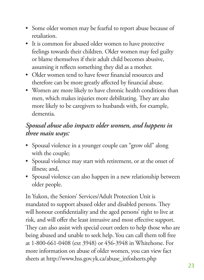- Some older women may be fearful to report abuse because of retaliation.
- • It is common for abused older women to have protective feelings towards their children. Older women may feel guilty or blame themselves if their adult child becomes abusive, assuming it reflects something they did as a mother.
- Older women tend to have fewer financial resources and therefore can be more greatly affected by financial abuse.
- • Women are more likely to have chronic health conditions than men, which makes injuries more debilitating. They are also more likely to be caregivers to husbands with, for example, dementia.

## *Spousal abuse also impacts older women, and happens in three main ways:*

- Spousal violence in a younger couple can "grow old" along with the couple;
- Spousal violence may start with retirement, or at the onset of illness; and,
- Spousal violence can also happen in a new relationship between older people.

In Yukon, the Seniors' Services/Adult Protection Unit is mandated to support abused older and disabled persons. They will honour confidentiality and the aged persons' right to live at risk, and will offer the least intrusive and most effective support. They can also assist with special court orders to help those who are being abused and unable to seek help. You can call them toll free at 1-800-661-0408 (ext 3948) or 456-3948 in Whitehorse. For more information on abuse of older women, you can view fact sheets at http://www.hss.gov.yk.ca/abuse\_infosheets.php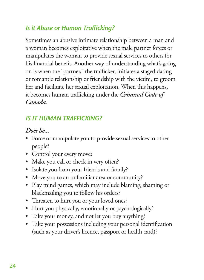## *Is it Abuse or Human Trafficking?*

Sometimes an abusive intimate relationship between a man and a woman becomes exploitative when the male partner forces or manipulates the woman to provide sexual services to others for his financial benefit. Another way of understanding what's going on is when the "partner," the trafficker, initiates a staged dating or romantic relationship or friendship with the victim, to groom her and facilitate her sexual exploitation. When this happens, it becomes human trafficking under the *Criminal Code of Canada.*

## *IS IT HUMAN TRAFFICKING?*

#### *Does he...*

- Force or manipulate you to provide sexual services to other people?
- Control your every move?
- Make you call or check in very often?
- Isolate you from your friends and family?
- Move you to an unfamiliar area or community?
- Play mind games, which may include blaming, shaming or blackmailing you to follow his orders?
- Threaten to hurt you or your loved ones?
- Hurt you physically, emotionally or psychologically?
- Take your money, and not let you buy anything?
- Take your possessions including your personal identification (such as your driver's licence, passport or health card)?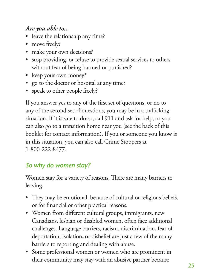## *Are you able to...*

- leave the relationship any time?
- move freely?
- make your own decisions?
- stop providing, or refuse to provide sexual services to others without fear of being harmed or punished?
- keep your own money?
- • go to the doctor or hospital at any time?
- speak to other people freely?

If you answer yes to any of the first set of questions, or no to any of the second set of questions, you may be in a trafficking situation. If it is safe to do so, call 911 and ask for help, or you can also go to a transition home near you (see the back of this booklet for contact information). If you or someone you know is in this situation, you can also call Crime Stoppers at 1-800-222-8477.

## *So why do women stay?*

Women stay for a variety of reasons. There are many barriers to leaving.

- They may be emotional, because of cultural or religious beliefs, or for financial or other practical reasons.
- • Women from different cultural groups, immigrants, new Canadians, lesbian or disabled women, often face additional challenges. Language barriers, racism, discrimination, fear of deportation, isolation, or disbelief are just a few of the many barriers to reporting and dealing with abuse.
- • Some professional women or women who are prominent in their community may stay with an abusive partner because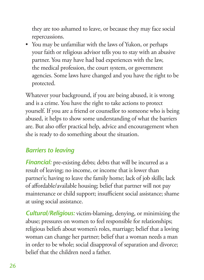they are too ashamed to leave, or because they may face social repercussions.

• You may be unfamiliar with the laws of Yukon, or perhaps your faith or religious advisor tells you to stay with an abusive partner. You may have had bad experiences with the law, the medical profession, the court system, or government agencies. Some laws have changed and you have the right to be protected.

Whatever your background, if you are being abused, it is wrong and is a crime. You have the right to take actions to protect yourself. If you are a friend or counsellor to someone who is being abused, it helps to show some understanding of what the barriers are. But also offer practical help, advice and encouragement when she is ready to do something about the situation.

## *Barriers to leaving*

**Financial:** pre-existing debts; debts that will be incurred as a result of leaving; no income, or income that is lower than partner's; having to leave the family home; lack of job skills; lack of affordable/available housing; belief that partner will not pay maintenance or child support; insufficient social assistance; shame at using social assistance.

*Cultural/Religious:* victim-blaming, denying, or minimizing the abuse; pressures on women to feel responsible for relationships; religious beliefs about women's roles, marriage; belief that a loving woman can change her partner; belief that a woman needs a man in order to be whole; social disapproval of separation and divorce; belief that the children need a father.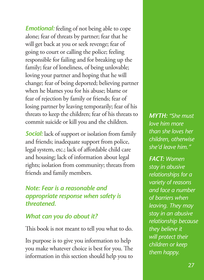*Emotional:* feeling of not being able to cope alone; fear of threats by partner; fear that he will get back at you or seek revenge; fear of going to court or calling the police; feeling responsible for failing and for breaking up the family; fear of loneliness, of being unlovable; loving your partner and hoping that he will change; fear of being deported; believing partner when he blames you for his abuse; blame or fear of rejection by family or friends; fear of losing partner by leaving temporarily; fear of his threats to keep the children; fear of his threats to commit suicide or kill you and the children.

**Social:** lack of support or isolation from family and friends; inadequate support from police, legal system, etc.; lack of affordable child care and housing; lack of information about legal rights; isolation from community; threats from friends and family members.

#### *Note: Fear is a reasonable and appropriate response when safety is threatened.*

#### *What can you do about it?*

This book is not meant to tell you what to do.

Its purpose is to give you information to help you make whatever choice is best for you. The information in this section should help you to *MYTH: "She must love him more than she loves her children, otherwise she'd leave him."*

*FACT: Women stay in abusive relationships for a variety of reasons and face a number of barriers when leaving. They may stay in an abusive relationship because they believe it will protect their children or keep them happy.*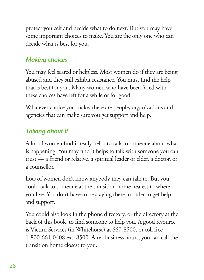protect yourself and decide what to do next. But you may have some important choices to make. You are the only one who can decide what is best for you.

## *Making choices*

You may feel scared or helpless. Most women do if they are being abused and they still exhibit resistance. You must find the help that is best for you. Many women who have been faced with these choices have left for a while or for good.

Whatever choice you make, there are people, organizations and agencies that can make sure you get support and help.

#### *Talking about it*

A lot of women find it really helps to talk to someone about what is happening. You may find it helps to talk with someone you can trust — a friend or relative, a spiritual leader or elder, a doctor, or a counsellor.

Lots of women don't know anybody they can talk to. But you could talk to someone at the transition home nearest to where you live. You don't have to be staying there in order to get help and support.

You could also look in the phone directory, or the directory at the back of this book, to find someone to help you. A good resource is Victim Services (in Whitehorse) at 667-8500, or toll free 1-800-661-0408 ext. 8500. After business hours, you can call the transition home closest to you.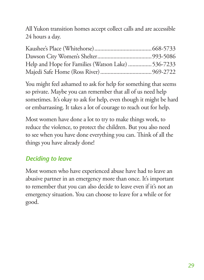All Yukon transition homes accept collect calls and are accessible 24 hours a day.

| Help and Hope for Families (Watson Lake)  536-7233 |  |
|----------------------------------------------------|--|
|                                                    |  |

You might feel ashamed to ask for help for something that seems so private. Maybe you can remember that all of us need help sometimes. It's okay to ask for help, even though it might be hard or embarrassing. It takes a lot of courage to reach out for help.

Most women have done a lot to try to make things work, to reduce the violence, to protect the children. But you also need to see when you have done everything you can. Think of all the things you have already done!

## *Deciding to leave*

Most women who have experienced abuse have had to leave an abusive partner in an emergency more than once. It's important to remember that you can also decide to leave even if it's not an emergency situation. You can choose to leave for a while or for good.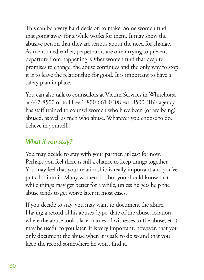This can be a very hard decision to make. Some women find that going away for a while works for them. It may show the abusive person that they are serious about the need for change. As mentioned earlier, perpetrators are often trying to prevent departure from happening. Other women find that despite promises to change, the abuse continues and the only way to stop it is to leave the relationship for good. It is important to have a safety plan in place.

You can also talk to counsellors at Victim Services in Whitehorse at 667-8500 or toll free 1-800-661-0408 ext. 8500. This agency has staff trained to counsel women who have been (or are being) abused, as well as men who abuse. Whatever you choose to do, believe in yourself.

#### *What if you stay?*

You may decide to stay with your partner, at least for now. Perhaps you feel there is still a chance to keep things together. You may feel that your relationship is really important and you've put a lot into it. Many women do. But you should know that while things may get better for a while, unless he gets help the abuse tends to get worse later in most cases.

If you decide to stay, you may want to document the abuse. Having a record of his abuses (type, date of the abuse, location where the abuse took place, names of witnesses to the abuse, etc.) may be useful to you later. It is very important, however, that you only document the abuse when it is safe to do so and that you keep the record somewhere he won't find it.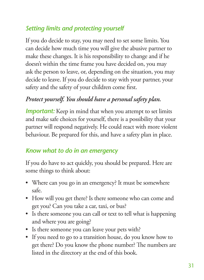# *Setting limits and protecting yourself*

If you do decide to stay, you may need to set some limits. You can decide how much time you will give the abusive partner to make these changes. It is his responsibility to change and if he doesn't within the time frame you have decided on, you may ask the person to leave, or, depending on the situation, you may decide to leave. If you do decide to stay with your partner, your safety and the safety of your children come first.

#### *Protect yourself. You should have a personal safety plan.*

*Important:* Keep in mind that when you attempt to set limits and make safe choices for yourself, there is a possibility that your partner will respond negatively. He could react with more violent behaviour. Be prepared for this, and have a safety plan in place.

#### *Know what to do in an emergency*

If you do have to act quickly, you should be prepared. Here are some things to think about:

- Where can you go in an emergency? It must be somewhere safe.
- How will you get there? Is there someone who can come and get you? Can you take a car, taxi, or bus?
- Is there someone you can call or text to tell what is happening and where you are going?
- Is there someone you can leave your pets with?
- If you need to go to a transition house, do you know how to get there? Do you know the phone number? The numbers are listed in the directory at the end of this book.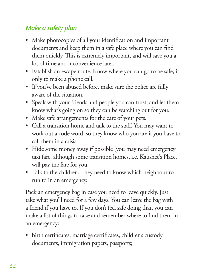## *Make a safety plan*

- Make photocopies of all your identification and important documents and keep them in a safe place where you can find them quickly. This is extremely important, and will save you a lot of time and inconvenience later.
- Establish an escape route. Know where you can go to be safe, if only to make a phone call.
- If you've been abused before, make sure the police are fully aware of the situation.
- Speak with your friends and people you can trust, and let them know what's going on so they can be watching out for you.
- Make safe arrangements for the care of your pets.
- Call a transition home and talk to the staff. You may want to work out a code word, so they know who you are if you have to call them in a crisis.
- Hide some money away if possible (you may need emergency taxi fare, although some transition homes, i.e. Kaushee's Place, will pay the fare for you.
- Talk to the children. They need to know which neighbour to run to in an emergency.

Pack an emergency bag in case you need to leave quickly. Just take what you'll need for a few days. You can leave the bag with a friend if you have to. If you don't feel safe doing that, you can make a list of things to take and remember where to find them in an emergency:

• birth certificates, marriage certificates, children's custody documents, immigration papers, passports;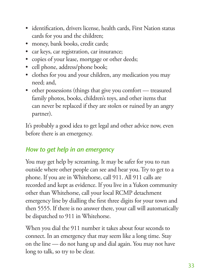- identification, drivers license, health cards, First Nation status cards for you and the children;
- money, bank books, credit cards;
- • car keys, car registration, car insurance;
- copies of your lease, mortgage or other deeds;
- cell phone, address/phone book;
- clothes for you and your children, any medication you may need; and,
- other possessions (things that give you comfort treasured family photos, books, children's toys, and other items that can never be replaced if they are stolen or ruined by an angry partner).

It's probably a good idea to get legal and other advice now, even before there is an emergency.

### *How to get help in an emergency*

You may get help by screaming. It may be safer for you to run outside where other people can see and hear you. Try to get to a phone. If you are in Whitehorse, call 911. All 911 calls are recorded and kept as evidence. If you live in a Yukon community other than Whitehorse, call your local RCMP detachment emergency line by dialling the first three digits for your town and then 5555. If there is no answer there, your call will automatically be dispatched to 911 in Whitehorse.

When you dial the 911 number it takes about four seconds to connect. In an emergency that may seem like a long time. Stay on the line — do not hang up and dial again. You may not have long to talk, so try to be clear.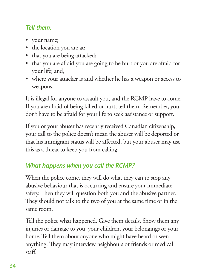## *Tell them:*

- your name;
- the location you are at;
- that you are being attacked;
- that you are afraid you are going to be hurt or you are afraid for your life; and,
- where your attacker is and whether he has a weapon or access to weapons.

It is illegal for anyone to assault you, and the RCMP have to come. If you are afraid of being killed or hurt, tell them. Remember, you don't have to be afraid for your life to seek assistance or support.

If you or your abuser has recently received Canadian citizenship, your call to the police doesn't mean the abuser will be deported or that his immigrant status will be affected, but your abuser may use this as a threat to keep you from calling.

# *What happens when you call the RCMP?*

When the police come, they will do what they can to stop any abusive behaviour that is occurring and ensure your immediate safety. Then they will question both you and the abusive partner. They should not talk to the two of you at the same time or in the same room.

Tell the police what happened. Give them details. Show them any injuries or damage to you, your children, your belongings or your home. Tell them about anyone who might have heard or seen anything. They may interview neighbours or friends or medical  $staff.$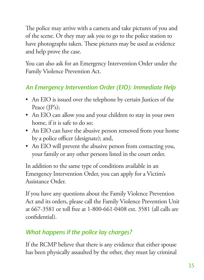The police may arrive with a camera and take pictures of you and of the scene. Or they may ask you to go to the police station to have photographs taken. These pictures may be used as evidence and help prove the case.

You can also ask for an Emergency Intervention Order under the Family Violence Prevention Act.

# *An Emergency Intervention Order (EIO): Immediate Help*

- An EIO is issued over the telephone by certain Justices of the Peace (JP's);
- An EIO can allow you and your children to stay in your own home, if it is safe to do so;
- An EIO can have the abusive person removed from your home by a police officer (designate); and,
- An EIO will prevent the abusive person from contacting you, your family or any other persons listed in the court order.

In addition to the same type of conditions available in an Emergency Intervention Order, you can apply for a Victim's Assistance Order.

If you have any questions about the Family Violence Prevention Act and its orders, please call the Family Violence Prevention Unit at 667-3581 or toll free at 1-800-661-0408 ext. 3581 (all calls are confidential).

# *What happens if the police lay charges?*

If the RCMP believe that there is any evidence that either spouse has been physically assaulted by the other, they must lay criminal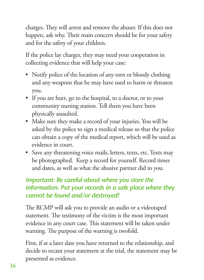charges. They will arrest and remove the abuser. If this does not happen, ask why. Their main concern should be for your safety and for the safety of your children.

If the police lay charges, they may need your cooperation in collecting evidence that will help your case:

- Notify police of the location of any torn or bloody clothing and any weapons that he may have used to harm or threaten you.
- If you are hurt, go to the hospital, to a doctor, or to your community nursing station. Tell them you have been physically assaulted.
- Make sure they make a record of your injuries. You will be asked by the police to sign a medical release so that the police can obtain a copy of the medical report, which will be used as evidence in court.
- • Save any threatening voice mails, letters, texts, etc. Texts may be photographed. Keep a record for yourself. Record times and dates, as well as what the abusive partner did to you.

### *Important: Be careful about where you store the information. Put your records in a safe place where they cannot be found and/or destroyed!*

The RCMP will ask you to provide an audio or a videotaped statement. The testimony of the victim is the most important evidence in any court case. This statement will be taken under warning. The purpose of the warning is twofold.

First, if at a later date you have returned to the relationship, and decide to recant your statement at the trial, the statement may be presented as evidence.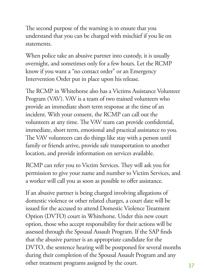The second purpose of the warning is to ensure that you understand that you can be charged with mischief if you lie on statements.

When police take an abusive partner into custody, it is usually overnight, and sometimes only for a few hours. Let the RCMP know if you want a "no contact order" or an Emergency Intervention Order put in place upon his release.

e RCMP in Whitehorse also has a Victims Assistance Volunteer Program (VAV). VAV is a team of two trained volunteers who provide an immediate short term response at the time of an incident. With your consent, the RCMP can call out the volunteers at any time. The VAV team can provide confidential, immediate, short term, emotional and practical assistance to you. The VAV volunteers can do things like stay with a person until family or friends arrive, provide safe transportation to another location, and provide information on services available.

RCMP can refer you to Victim Services. They will ask you for permission to give your name and number to Victim Services, and a worker will call you as soon as possible to offer assistance.

If an abusive partner is being charged involving allegations of domestic violence or other related charges, a court date will be issued for the accused to attend Domestic Violence Treatment Option (DVTO) court in Whitehorse. Under this new court option, those who accept responsibility for their actions will be assessed through the Spousal Assault Program. If the SAP finds that the abusive partner is an appropriate candidate for the DVTO, the sentence hearing will be postponed for several months during their completion of the Spousal Assault Program and any other treatment programs assigned by the court.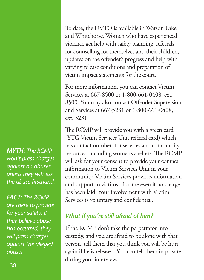*MYTH: The RCMP won't press charges against an abuser unless they witness the abuse firsthand.*

**FACT: The RCMP** *are there to provide for your safety. If they believe abuse has occurred, they will press charges against the alleged abuser.*

To date, the DVTO is available in Watson Lake and Whitehorse. Women who have experienced violence get help with safety planning, referrals for counselling for themselves and their children, updates on the offender's progress and help with varying release conditions and preparation of victim impact statements for the court.

For more information, you can contact Victim Services at 667-8500 or 1-800-661-0408, ext. 8500. You may also contact Offender Supervision and Services at 667-5231 or 1-800-661-0408, ext. 5231.

The RCMP will provide you with a green card (YTG Victim Services Unit referral card) which has contact numbers for services and community resources, including women's shelters. The RCMP will ask for your consent to provide your contact information to Victim Services Unit in your community. Victim Services provides information and support to victims of crime even if no charge has been laid. Your involvement with Victim Services is voluntary and confidential.

# *What if you're still afraid of him?*

If the RCMP don't take the perpetrator into custody, and you are afraid to be alone with that person, tell them that you think you will be hurt again if he is released. You can tell them in private during your interview.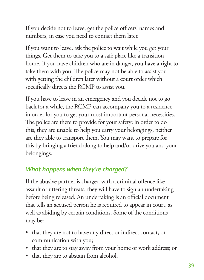If you decide not to leave, get the police officers' names and numbers, in case you need to contact them later.

If you want to leave, ask the police to wait while you get your things. Get them to take you to a safe place like a transition home. If you have children who are in danger, you have a right to take them with you. The police may not be able to assist you with getting the children later without a court order which specifically directs the RCMP to assist you.

If you have to leave in an emergency and you decide not to go back for a while, the RCMP can accompany you to a residence in order for you to get your most important personal necessities. The police are there to provide for your safety; in order to do this, they are unable to help you carry your belongings, neither are they able to transport them. You may want to prepare for this by bringing a friend along to help and/or drive you and your belongings.

# *What happens when they're charged?*

If the abusive partner is charged with a criminal offence like assault or uttering threats, they will have to sign an undertaking before being released. An undertaking is an official document that tells an accused person he is required to appear in court, as well as abiding by certain conditions. Some of the conditions may be:

- that they are not to have any direct or indirect contact, or communication with you;
- that they are to stay away from your home or work address; or
- that they are to abstain from alcohol.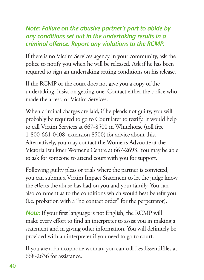#### *Note: Failure on the abusive partner's part to abide by any conditions set out in the undertaking results in a criminal offence. Report any violations to the RCMP.*

If there is no Victim Services agency in your community, ask the police to notify you when he will be released. Ask if he has been required to sign an undertaking setting conditions on his release.

If the RCMP or the court does not give you a copy of the undertaking, insist on getting one. Contact either the police who made the arrest, or Victim Services.

When criminal charges are laid, if he pleads not guilty, you will probably be required to go to Court later to testify. It would help to call Victim Services at 667-8500 in Whitehorse (toll free 1-800-661-0408, extension 8500) for advice about this. Alternatively, you may contact the Women's Advocate at the Victoria Faulkner Women's Centre at 667-2693. You may be able to ask for someone to attend court with you for support.

Following guilty pleas or trials where the partner is convicted, you can submit a Victim Impact Statement to let the judge know the effects the abuse has had on you and your family. You can also comment as to the conditions which would best benefit you (i.e. probation with a "no contact order" for the perpetrator).

**Note:** If your first language is not English, the RCMP will make every effort to find an interpreter to assist you in making a statement and in giving other information. You will definitely be provided with an interpreter if you need to go to court.

If you are a Francophone woman, you can call Les EssentiElles at 668-2636 for assistance.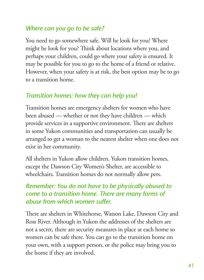#### *Where can you go to be safe?*

You need to go somewhere safe. Will he look for you? Where might he look for you? Think about locations where you, and perhaps your children, could go where your safety is ensured. It may be possible for you to go to the home of a friend or relative. However, when your safety is at risk, the best option may be to go to a transition home.

### *Transition homes: how they can help you!*

Transition homes are emergency shelters for women who have been abused — whether or not they have children — which provide services in a supportive environment. There are shelters in some Yukon communities and transportation can usually be arranged to get a woman to the nearest shelter when one does not exist in her community.

All shelters in Yukon allow children. Yukon transition homes, except the Dawson City Women's Shelter, are accessible to wheelchairs. Transition homes do not normally allow pets.

#### *Remember: You do not have to be physically abused to come to a transition home. There are many forms of abuse from which women suffer.*

There are shelters in Whitehorse, Watson Lake, Dawson City and Ross River. Although in Yukon the addresses of the shelters are not a secret, there are security measures in place at each home so women can be safe there. You can go to the transition home on your own, with a support person, or the police may bring you to the home if they are involved.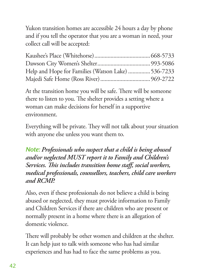Yukon transition homes are accessible 24 hours a day by phone and if you tell the operator that you are a woman in need, your collect call will be accepted:

| Help and Hope for Families (Watson Lake)  536-7233 |  |
|----------------------------------------------------|--|
|                                                    |  |

At the transition home you will be safe. There will be someone there to listen to you. The shelter provides a setting where a woman can make decisions for herself in a supportive environment.

Everything will be private. They will not talk about your situation with anyone else unless you want them to.

*Note: Professionals who suspect that a child is being abused and/or neglected MUST report it to Family and Children's Services. This includes transition home staff, social workers, medical professionals, counsellors, teachers, child care workers and RCMP.*

Also, even if these professionals do not believe a child is being abused or neglected, they must provide information to Family and Children Services if there are children who are present or normally present in a home where there is an allegation of domestic violence.

There will probably be other women and children at the shelter. It can help just to talk with someone who has had similar experiences and has had to face the same problems as you.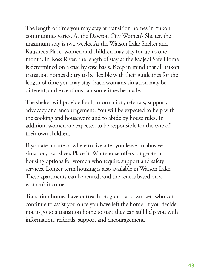The length of time you may stay at transition homes in Yukon communities varies. At the Dawson City Women's Shelter, the maximum stay is two weeks. At the Watson Lake Shelter and Kaushee's Place, women and children may stay for up to one month. In Ross River, the length of stay at the Majedi Safe Home is determined on a case by case basis. Keep in mind that all Yukon transition homes do try to be flexible with their guidelines for the length of time you may stay. Each woman's situation may be different, and exceptions can sometimes be made.

The shelter will provide food, information, referrals, support, advocacy and encouragement. You will be expected to help with the cooking and housework and to abide by house rules. In addition, women are expected to be responsible for the care of their own children.

If you are unsure of where to live after you leave an abusive situation, Kaushee's Place in Whitehorse offers longer-term housing options for women who require support and safety services. Longer-term housing is also available in Watson Lake. These apartments can be rented, and the rent is based on a woman's income.

Transition homes have outreach programs and workers who can continue to assist you once you have left the home. If you decide not to go to a transition home to stay, they can still help you with information, referrals, support and encouragement.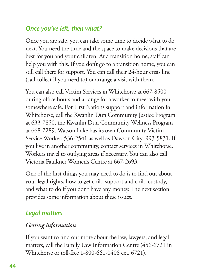#### *Once you've left, then what?*

Once you are safe, you can take some time to decide what to do next. You need the time and the space to make decisions that are best for you and your children. At a transition home, staff can help you with this. If you don't go to a transition home, you can still call there for support. You can call their 24-hour crisis line (call collect if you need to) or arrange a visit with them.

You can also call Victim Services in Whitehorse at 667-8500 during office hours and arrange for a worker to meet with you somewhere safe. For First Nations support and information in Whitehorse, call the Kwanlin Dun Community Justice Program at 633-7850, the Kwanlin Dun Community Wellness Program at 668-7289. Watson Lake has its own Community Victim Service Worker: 536-2541 as well as Dawson City: 993-5831. If you live in another community, contact services in Whitehorse. Workers travel to outlying areas if necessary. You can also call Victoria Faulkner Women's Centre at 667-2693.

One of the first things you may need to do is to find out about your legal rights, how to get child support and child custody, and what to do if you don't have any money. The next section provides some information about these issues.

# *Legal matters*

#### *Getting information*

If you want to find out more about the law, lawyers, and legal matters, call the Family Law Information Centre (456-6721 in Whitehorse or toll-free 1-800-661-0408 ext. 6721).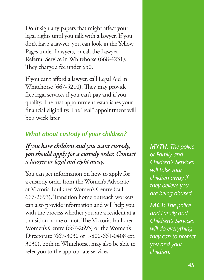Don't sign any papers that might affect your legal rights until you talk with a lawyer. If you don't have a lawyer, you can look in the Yellow Pages under Lawyers, or call the Lawyer Referral Service in Whitehorse (668-4231). They charge a fee under \$50.

If you can't afford a lawyer, call Legal Aid in Whitehorse (667-5210). They may provide free legal services if you can't pay and if you qualify. The first appointment establishes your financial eligibility. The "real" appointment will be a week later

## *What about custody of your children?*

*If you have children and you want custody, you should apply for a custody order. Contact a lawyer or legal aid right away.*

You can get information on how to apply for a custody order from the Women's Advocate at Victoria Faulkner Women's Centre (call 667-2693). Transition home outreach workers can also provide information and will help you with the process whether you are a resident at a transition home or not. The Victoria Faulkner Women's Centre (667-2693) or the Women's Directorate (667-3030 or 1-800-661-0408 ext. 3030), both in Whitehorse, may also be able to refer you to the appropriate services.

*MYTH: The police or Family and Children's Services will take your children away if they believe you are being abused.* 

*FACT: The police and Family and Children's Services will do everything they can to protect you and your children.*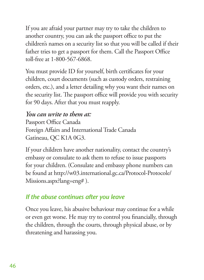If you are afraid your partner may try to take the children to another country, you can ask the passport office to put the children's names on a security list so that you will be called if their father tries to get a passport for them. Call the Passport Office toll-free at 1-800-567-6868.

You must provide ID for yourself, birth certificates for your children, court documents (such as custody orders, restraining orders, etc.), and a letter detailing why you want their names on the security list. The passport office will provide you with security for 90 days. After that you must reapply.

#### *You can write to them at:*

Passport Office Canada Foreign Affairs and International Trade Canada Gatineau, QC K1A 0G3.

If your children have another nationality, contact the country's embassy or consulate to ask them to refuse to issue passports for your children. (Consulate and embassy phone numbers can be found at http://w03.international.gc.ca/Protocol-Protocole/ Missions.aspx?lang=eng# ).

### *If the abuse continues after you leave*

Once you leave, his abusive behaviour may continue for a while or even get worse. He may try to control you financially, through the children, through the courts, through physical abuse, or by threatening and harassing you.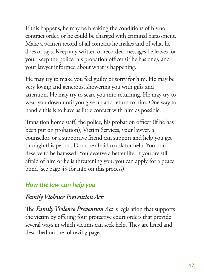If this happens, he may be breaking the conditions of his no contract order, or he could be charged with criminal harassment. Make a written record of all contacts he makes and of what he does or says. Keep any written or recorded messages he leaves for you. Keep the police, his probation officer (if he has one), and your lawyer informed about what is happening.

He may try to make you feel guilty or sorry for him. He may be very loving and generous, showering you with gifts and attention. He may try to scare you into returning. He may try to wear you down until you give up and return to him. One way to handle this is to have as little contact with him as possible.

Transition home staff, the police, his probation officer (if he has been put on probation), Victim Services, your lawyer, a counsellor, or a supportive friend can support and help you get through this period. Don't be afraid to ask for help. You don't deserve to be harassed. You deserve a better life. If you are still afraid of him or he is threatening you, you can apply for a peace bond (see page 49 for info on this process).

### *How the law can help you*

#### *Family Violence Prevention Act:*

The *Family Violence Prevention Act* is legislation that supports the victim by offering four protective court orders that provide several ways in which victims can seek help. They are listed and described on the following pages.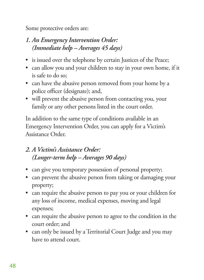Some protective orders are:

### *1. An Emergency Intervention Order: (Immediate help – Averages 45 days)*

- is issued over the telephone by certain Justices of the Peace;
- can allow you and your children to stay in your own home, if it is safe to do so;
- can have the abusive person removed from your home by a police officer (designate); and,
- will prevent the abusive person from contacting you, your family or any other persons listed in the court order.

In addition to the same type of conditions available in an Emergency Intervention Order, you can apply for a Victim's Assistance Order.

#### *2. A Victim's Assistance Order: (Longer-term help – Averages 90 days)*

- can give you temporary possession of personal property;
- can prevent the abusive person from taking or damaging your property;
- can require the abusive person to pay you or your children for any loss of income, medical expenses, moving and legal expenses;
- can require the abusive person to agree to the condition in the court order; and
- can only be issued by a Territorial Court Judge and you may have to attend court.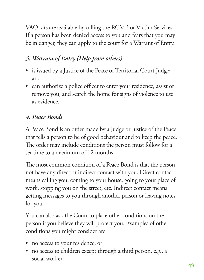VAO kits are available by calling the RCMP or Victim Services. If a person has been denied access to you and fears that you may be in danger, they can apply to the court for a Warrant of Entry.

# *3. Warrant of Entry (Help from others)*

- is issued by a Justice of the Peace or Territorial Court Judge; and
- can authorize a police officer to enter your residence, assist or remove you, and search the home for signs of violence to use as evidence.

# *4. Peace Bonds*

A Peace Bond is an order made by a Judge or Justice of the Peace that tells a person to be of good behaviour and to keep the peace. The order may include conditions the person must follow for a set time to a maximum of 12 months.

The most common condition of a Peace Bond is that the person not have any direct or indirect contact with you. Direct contact means calling you, coming to your house, going to your place of work, stopping you on the street, etc. Indirect contact means getting messages to you through another person or leaving notes for you.

You can also ask the Court to place other conditions on the person if you believe they will protect you. Examples of other conditions you might consider are:

- no access to your residence; or
- no access to children except through a third person, e.g., a social worker.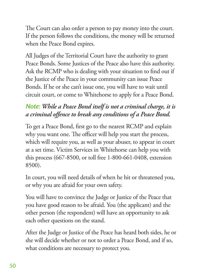The Court can also order a person to pay money into the court. If the person follows the conditions, the money will be returned when the Peace Bond expires.

All Judges of the Territorial Court have the authority to grant Peace Bonds. Some Justices of the Peace also have this authority. Ask the RCMP who is dealing with your situation to find out if the Justice of the Peace in your community can issue Peace Bonds. If he or she can't issue one, you will have to wait until circuit court, or come to Whitehorse to apply for a Peace Bond.

## *Note: While a Peace Bond itself is not a criminal charge, it is a criminal offence to break any conditions of a Peace Bond.*

To get a Peace Bond, first go to the nearest RCMP and explain why you want one. The officer will help you start the process, which will require you, as well as your abuser, to appear in court at a set time. Victim Services in Whitehorse can help you with this process (667-8500, or toll free 1-800-661-0408, extension 8500).

In court, you will need details of when he hit or threatened you, or why you are afraid for your own safety.

You will have to convince the Judge or Justice of the Peace that you have good reason to be afraid. You (the applicant) and the other person (the respondent) will have an opportunity to ask each other questions on the stand.

After the Judge or Justice of the Peace has heard both sides, he or she will decide whether or not to order a Peace Bond, and if so, what conditions are necessary to protect you.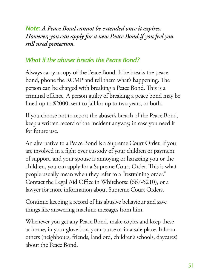*Note: A Peace Bond cannot be extended once it expires. However, you can apply for a new Peace Bond if you feel you still need protection.*

#### *What if the abuser breaks the Peace Bond?*

Always carry a copy of the Peace Bond. If he breaks the peace bond, phone the RCMP and tell them what's happening. The person can be charged with breaking a Peace Bond. This is a criminal offence. A person guilty of breaking a peace bond may be fined up to \$2000, sent to jail for up to two years, or both.

If you choose not to report the abuser's breach of the Peace Bond, keep a written record of the incident anyway, in case you need it for future use.

An alternative to a Peace Bond is a Supreme Court Order. If you are involved in a fight over custody of your children or payment of support, and your spouse is annoying or harassing you or the children, you can apply for a Supreme Court Order. This is what people usually mean when they refer to a "restraining order." Contact the Legal Aid Office in Whitehorse (667-5210), or a lawyer for more information about Supreme Court Orders.

Continue keeping a record of his abusive behaviour and save things like answering machine messages from him.

Whenever you get any Peace Bond, make copies and keep these at home, in your glove box, your purse or in a safe place. Inform others (neighbours, friends, landlord, children's schools, daycares) about the Peace Bond.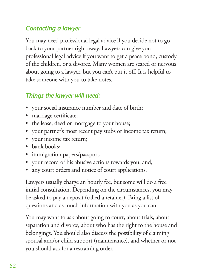### *Contacting a lawyer*

You may need professional legal advice if you decide not to go back to your partner right away. Lawyers can give you professional legal advice if you want to get a peace bond, custody of the children, or a divorce. Many women are scared or nervous about going to a lawyer, but you can't put it off. It is helpful to take someone with you to take notes.

## *Things the lawyer will need:*

- • your social insurance number and date of birth;
- marriage certificate;
- the lease, deed or mortgage to your house;
- your partner's most recent pay stubs or income tax return;
- • your income tax return;
- bank books:
- • immigration papers/passport;
- your record of his abusive actions towards you; and,
- any court orders and notice of court applications.

Lawyers usually charge an hourly fee, but some will do a free initial consultation. Depending on the circumstances, you may be asked to pay a deposit (called a retainer). Bring a list of questions and as much information with you as you can.

You may want to ask about going to court, about trials, about separation and divorce, about who has the right to the house and belongings. You should also discuss the possibility of claiming spousal and/or child support (maintenance), and whether or not you should ask for a restraining order.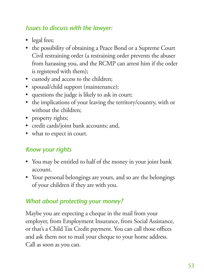### *Issues to discuss with the lawyer:*

- legal fees;
- the possibility of obtaining a Peace Bond or a Supreme Court Civil restraining order (a restraining order prevents the abuser from harassing you, and the RCMP can arrest him if the order is registered with them);
- • custody and access to the children;
- spousal/child support (maintenance);
- • questions the judge is likely to ask in court;
- • the implications of your leaving the territory/country, with or without the children;
- property rights;
- • credit cards/joint bank accounts; and,
- what to expect in court.

### *Know your rights*

- You may be entitled to half of the money in your joint bank account.
- Your personal belongings are yours, and so are the belongings of your children if they are with you.

#### *What about protecting your money?*

Maybe you are expecting a cheque in the mail from your employer, from Employment Insurance, from Social Assistance, or that's a Child Tax Credit payment. You can call those offices and ask them not to mail your cheque to your home address. Call as soon as you can.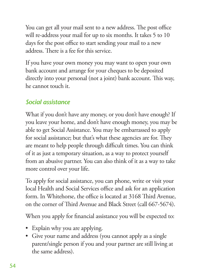You can get all your mail sent to a new address. The post office will re-address your mail for up to six months. It takes 5 to 10 days for the post office to start sending your mail to a new address. There is a fee for this service.

If you have your own money you may want to open your own bank account and arrange for your cheques to be deposited directly into your personal (not a joint) bank account. This way, he cannot touch it.

## *Social assistance*

What if you don't have any money, or you don't have enough? If you leave your home, and don't have enough money, you may be able to get Social Assistance. You may be embarrassed to apply for social assistance; but that's what these agencies are for. They are meant to help people through difficult times. You can think of it as just a temporary situation, as a way to protect yourself from an abusive partner. You can also think of it as a way to take more control over your life.

To apply for social assistance, you can phone, write or visit your local Health and Social Services office and ask for an application form. In Whitehorse, the office is located at 3168 Third Avenue, on the corner of Third Avenue and Black Street (call 667-5674).

When you apply for financial assistance you will be expected to:

- • Explain why you are applying.
- Give your name and address (you cannot apply as a single parent/single person if you and your partner are still living at the same address).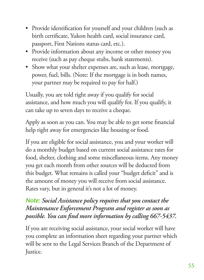- • Provide identification for yourself and your children (such as birth certificate, Yukon health card, social insurance card, passport, First Nations status card, etc.).
- Provide information about any income or other money you receive (such as pay cheque stubs, bank statements).
- Show what your shelter expenses are, such as lease, mortgage, power, fuel, bills. (Note: If the mortgage is in both names, your partner may be required to pay for half.)

Usually, you are told right away if you qualify for social assistance, and how much you will qualify for. If you qualify, it can take up to seven days to receive a cheque.

Apply as soon as you can. You may be able to get some financial help right away for emergencies like housing or food.

If you are eligible for social assistance, you and your worker will do a monthly budget based on current social assistance rates for food, shelter, clothing and some miscellaneous items. Any money you get each month from other sources will be deducted from this budget. What remains is called your "budget deficit" and is the amount of money you will receive from social assistance. Rates vary, but in general it's not a lot of money.

#### *Note: Social Assistance policy requires that you contact the Maintenance Enforcement Program and register as soon as possible. You can find more information by calling 667-5437.*

If you are receiving social assistance, your social worker will have you complete an information sheet regarding your partner which will be sent to the Legal Services Branch of the Department of Justice.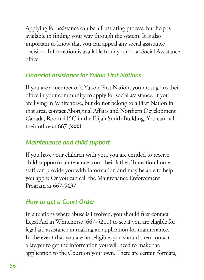Applying for assistance can be a frustrating process, but help is available in finding your way through the system. It is also important to know that you can appeal any social assistance decision. Information is available from your local Social Assistance  $\alpha$ 

#### *Financial assistance for Yukon First Nations*

If you are a member of a Yukon First Nation, you must go to their office in your community to apply for social assistance. If you are living in Whitehorse, but do not belong to a First Nation in that area, contact Aboriginal Affairs and Northern Development Canada, Room 415C in the Elijah Smith Building. You can call their office at  $667-3888$ .

### *Maintenance and child support*

If you have your children with you, you are entitled to receive child support/maintenance from their father. Transition home staff can provide you with information and may be able to help you apply. Or you can call the Maintenance Enforcement Program at 667-5437.

# *How to get a Court Order*

In situations where abuse is involved, you should first contact Legal Aid in Whitehorse (667-5210) to see if you are eligible for legal aid assistance in making an application for maintenance. In the event that you are not eligible, you should then contact a lawyer to get the information you will need to make the application to the Court on your own. There are certain formats,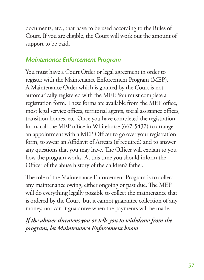documents, etc., that have to be used according to the Rules of Court. If you are eligible, the Court will work out the amount of support to be paid.

#### *Maintenance Enforcement Program*

You must have a Court Order or legal agreement in order to register with the Maintenance Enforcement Program (MEP). A Maintenance Order which is granted by the Court is not automatically registered with the MEP. You must complete a registration form. These forms are available from the MEP office, most legal service offices, territorial agents, social assistance offices, transition homes, etc. Once you have completed the registration form, call the MEP office in Whitehorse (667-5437) to arrange an appointment with a MEP Officer to go over your registration form, to swear an Affidavit of Arrears (if required) and to answer any questions that you may have. The Officer will explain to you how the program works. At this time you should inform the Officer of the abuse history of the children's father.

The role of the Maintenance Enforcement Program is to collect any maintenance owing, either ongoing or past due. The MEP will do everything legally possible to collect the maintenance that is ordered by the Court, but it cannot guarantee collection of any money, nor can it guarantee when the payments will be made.

*If the abuser threatens you or tells you to withdraw from the program, let Maintenance Enforcement know.*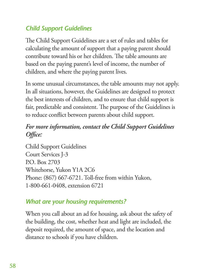# *Child Support Guidelines*

The Child Support Guidelines are a set of rules and tables for calculating the amount of support that a paying parent should contribute toward his or her children. The table amounts are based on the paying parent's level of income, the number of children, and where the paying parent lives.

In some unusual circumstances, the table amounts may not apply. In all situations, however, the Guidelines are designed to protect the best interests of children, and to ensure that child support is fair, predictable and consistent. The purpose of the Guidelines is to reduce conflict between parents about child support.

### *For more information, contact the Child Support Guidelines Office:*

Child Support Guidelines Court Services J-3 P.O. Box 2703 Whitehorse, Yukon Y1A 2C6 Phone: (867) 667-6721. Toll-free from within Yukon, 1-800-661-0408, extension 6721

### *What are your housing requirements?*

When you call about an ad for housing, ask about the safety of the building, the cost, whether heat and light are included, the deposit required, the amount of space, and the location and distance to schools if you have children.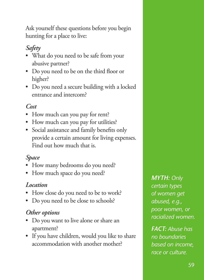Ask yourself these questions before you begin hunting for a place to live:

# *Safety*

- What do you need to be safe from your abusive partner?
- • Do you need to be on the third floor or higher?
- Do you need a secure building with a locked entrance and intercom?

#### *Cost*

- How much can you pay for rent?
- How much can you pay for utilities?
- • Social assistance and family benefits only provide a certain amount for living expenses. Find out how much that is.

#### *Space*

- How many bedrooms do you need?
- How much space do you need?

#### *Location*

- How close do you need to be to work?
- Do you need to be close to schools?

#### *Other options*

- • Do you want to live alone or share an apartment?
- • If you have children, would you like to share accommodation with another mother?

*MYTH: Only certain types of women get abused, e.g., poor women, or racialized women.* 

*FACT: Abuse has no boundaries based on income, race or culture.*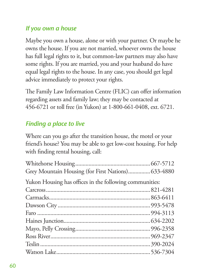### *If you own a house*

Maybe you own a house, alone or with your partner. Or maybe he owns the house. If you are not married, whoever owns the house has full legal rights to it, but common-law partners may also have some rights. If you are married, you and your husband do have equal legal rights to the house. In any case, you should get legal advice immediately to protect your rights.

The Family Law Information Centre (FLIC) can offer information regarding assets and family law; they may be contacted at 456-6721 or toll free (in Yukon) at 1-800-661-0408, ext. 6721.

# *Finding a place to live*

Where can you go after the transition house, the motel or your friend's house? You may be able to get low-cost housing. For help with finding rental housing, call:

| Grey Mountain Housing (for First Nations) 633-4880      |  |
|---------------------------------------------------------|--|
| Yukon Housing has offices in the following communities: |  |
|                                                         |  |
|                                                         |  |
|                                                         |  |
|                                                         |  |
|                                                         |  |
|                                                         |  |
|                                                         |  |
|                                                         |  |
|                                                         |  |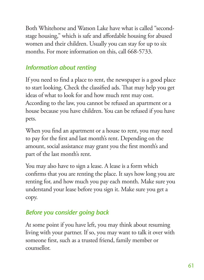Both Whitehorse and Watson Lake have what is called "secondstage housing," which is safe and affordable housing for abused women and their children. Usually you can stay for up to six months. For more information on this, call 668-5733.

## *Information about renting*

If you need to find a place to rent, the newspaper is a good place to start looking. Check the classified ads. That may help you get ideas of what to look for and how much rent may cost. According to the law, you cannot be refused an apartment or a house because you have children. You can be refused if you have pets.

When you find an apartment or a house to rent, you may need to pay for the first and last month's rent. Depending on the amount, social assistance may grant you the first month's and part of the last month's rent.

You may also have to sign a lease. A lease is a form which confirms that you are renting the place. It says how long you are renting for, and how much you pay each month. Make sure you understand your lease before you sign it. Make sure you get a copy.

### *Before you consider going back*

At some point if you have left, you may think about resuming living with your partner. If so, you may want to talk it over with someone first, such as a trusted friend, family member or counsellor.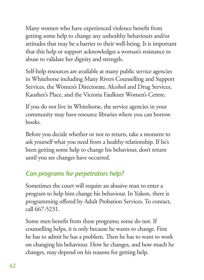Many women who have experienced violence benefit from getting some help to change any unhealthy behaviours and/or attitudes that may be a barrier to their well-being. It is important that this help or support acknowledges a woman's resistance to abuse to validate her dignity and strength.

Self-help resources are available at many public service agencies in Whitehorse including Many Rivers Counselling and Support Services, the Women's Directorate, Alcohol and Drug Services, Kaushee's Place, and the Victoria Faulkner Women's Centre.

If you do not live in Whitehorse, the service agencies in your community may have resource libraries where you can borrow books.

Before you decide whether or not to return, take a moment to ask yourself what you need from a healthy relationship. If he's been getting some help to change his behaviour, don't return until you see changes have occurred.

# *Can programs for perpetrators help?*

Sometimes the court will require an abusive man to enter a program to help him change his behaviour. In Yukon, there is programming offered by Adult Probation Services. To contact, call 667-5231.

Some men benefit from these programs; some do not. If counselling helps, it is only because he wants to change. First he has to admit he has a problem. Then he has to want to work on changing his behaviour. How he changes, and how much he changes, may depend on his reasons for getting help.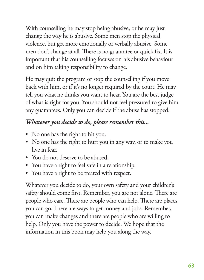With counselling he may stop being abusive, or he may just change the way he is abusive. Some men stop the physical violence, but get more emotionally or verbally abusive. Some men don't change at all. There is no guarantee or quick fix. It is important that his counselling focuses on his abusive behaviour and on him taking responsibility to change.

He may quit the program or stop the counselling if you move back with him, or if it's no longer required by the court. He may tell you what he thinks you want to hear. You are the best judge of what is right for you. You should not feel pressured to give him any guarantees. Only you can decide if the abuse has stopped.

### *Whatever you decide to do, please remember this...*

- No one has the right to hit you.
- No one has the right to hurt you in any way, or to make you live in fear.
- You do not deserve to be abused.
- You have a right to feel safe in a relationship.
- You have a right to be treated with respect.

Whatever you decide to do, your own safety and your children's safety should come first. Remember, you are not alone. There are people who care. There are people who can help. There are places you can go. There are ways to get money and jobs. Remember, you can make changes and there are people who are willing to help. Only you have the power to decide. We hope that the information in this book may help you along the way.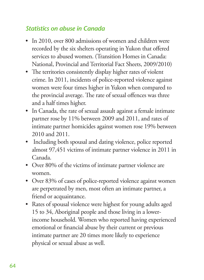### *Statistics on abuse in Canada*

- In 2010, over 800 admissions of women and children were recorded by the six shelters operating in Yukon that offered services to abused women. (Transition Homes in Canada: National, Provincial and Territorial Fact Sheets, 2009/2010)
- The territories consistently display higher rates of violent crime. In 2011, incidents of police-reported violence against women were four times higher in Yukon when compared to the provincial average. The rate of sexual offences was three and a half times higher.
- In Canada, the rate of sexual assault against a female intimate partner rose by 11% between 2009 and 2011, and rates of intimate partner homicides against women rose 19% between 2010 and 2011.
- Including both spousal and dating violence, police reported almost 97,451 victims of intimate partner violence in 2011 in Canada.
- Over 80% of the victims of intimate partner violence are women.
- Over 83% of cases of police-reported violence against women are perpetrated by men, most often an intimate partner, a friend or acquaintance.
- Rates of spousal violence were highest for young adults aged 15 to 34, Aboriginal people and those living in a lowerincome household. Women who reported having experienced emotional or financial abuse by their current or previous intimate partner are 20 times more likely to experience physical or sexual abuse as well.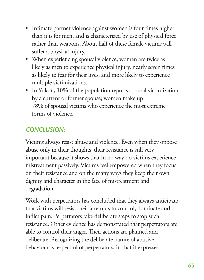- Intimate partner violence against women is four times higher than it is for men, and is characterized by use of physical force rather than weapons. About half of these female victims will suffer a physical injury.
- • When experiencing spousal violence, women are twice as likely as men to experience physical injury, nearly seven times as likely to fear for their lives, and more likely to experience multiple victimizations.
- In Yukon, 10% of the population reports spousal victimization by a current or former spouse; women make up 78% of spousal victims who experience the most extreme forms of violence.

# *CONCLUSION:*

Victims always resist abuse and violence. Even when they oppose abuse only in their thoughts, their resistance is still very important because it shows that in no way do victims experience mistreatment passively. Victims feel empowered when they focus on their resistance and on the many ways they keep their own dignity and character in the face of mistreatment and degradation.

Work with perpetrators has concluded that they always anticipate that victims will resist their attempts to control, dominate and inflict pain. Perpetrators take deliberate steps to stop such resistance. Other evidence has demonstrated that perpetrators are able to control their anger. Their actions are planned and deliberate. Recognizing the deliberate nature of abusive behaviour is respectful of perpetrators, in that it expresses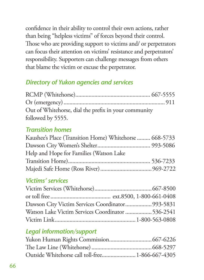confidence in their ability to control their own actions, rather than being "helpless victims" of forces beyond their control. Those who are providing support to victims and/ or perpetrators can focus their attention on victims' resistance and perpetrators' responsibility. Supporters can challenge messages from others that blame the victim or excuse the perpetrator.

### *Directory of Yukon agencies and services*

| Out of Whitehorse, dial the prefix in your community |  |
|------------------------------------------------------|--|
| followed by 5555.                                    |  |

#### *Transition homes*

| Kaushee's Place (Transition Home) Whitehorse  668-5733 |  |
|--------------------------------------------------------|--|
|                                                        |  |
| Help and Hope for Families (Watson Lake                |  |
|                                                        |  |
|                                                        |  |

#### *Victims' services*

| Dawson City Victim Services Coordinator 993-5831  |  |
|---------------------------------------------------|--|
| Watson Lake Victim Services Coordinator  536-2541 |  |
|                                                   |  |

### *Legal information/support*

| Outside Whitehorse call toll-free 1-866-667-4305 |  |
|--------------------------------------------------|--|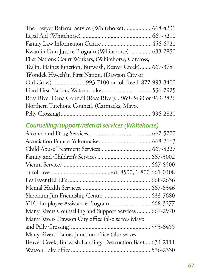| The Lawyer Referral Service (Whitehorse) 668-4231        |
|----------------------------------------------------------|
|                                                          |
|                                                          |
| Kwanlin Dun Justice Program (Whitehorse)  633-7850       |
|                                                          |
| Teslin, Haines Junction, Burwash, Beaver Creek) 667-3781 |
|                                                          |
|                                                          |
|                                                          |
| Ross River Dena Council (Ross River)969-2430 or 969-2826 |
|                                                          |
|                                                          |
|                                                          |

## *Counselling/support/referral services (Whitehorse)*

| YTG Employee Assistance Program 668-3277                 |  |
|----------------------------------------------------------|--|
| Many Rivers Counselling and Support Services  667-2970   |  |
| Many Rivers Dawson City office (also serves Mayo         |  |
|                                                          |  |
| Many Rivers Haines Junction office (also serves          |  |
| Beaver Creek, Burwash Landing, Destruction Bay) 634-2111 |  |
|                                                          |  |
|                                                          |  |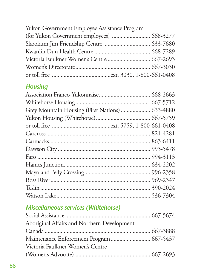| Yukon Government Employee Assistance Program |  |
|----------------------------------------------|--|
| (for Yukon Government employees)  668-3277   |  |
|                                              |  |
|                                              |  |
|                                              |  |
|                                              |  |
|                                              |  |

## *Housing*

| Grey Mountain Housing (First Nations)  633-4880 |  |
|-------------------------------------------------|--|
|                                                 |  |
|                                                 |  |
|                                                 |  |
|                                                 |  |
|                                                 |  |
|                                                 |  |
|                                                 |  |
|                                                 |  |
|                                                 |  |
|                                                 |  |
|                                                 |  |
|                                                 |  |

## *Miscellaneous services (Whitehorse)*

| Aboriginal Affairs and Northern Development |  |
|---------------------------------------------|--|
|                                             |  |
| Maintenance Enforcement Program  667-5437   |  |
| Victoria Faulkner Women's Centre            |  |
|                                             |  |